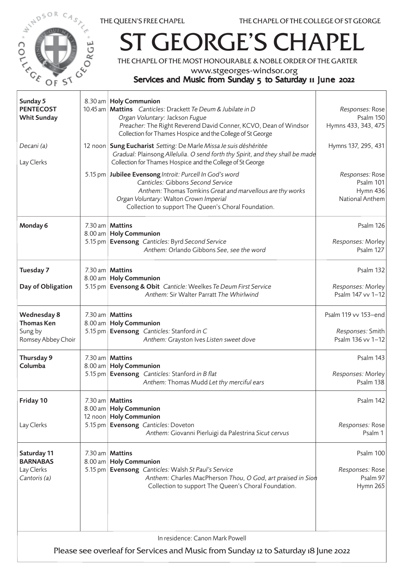



## **GEORGE'S CHAPEL**

THE CHAPEL OF THE MOST HONOURABLE & NOBLE ORDER OF THE GARTER

www.stgeorges-windsor.org

## Services and Music from Sunday 5 to Saturday 11 June 2022

| Sunday 5<br><b>PENTECOST</b><br><b>Whit Sunday</b>                                                                    |  | 8.30 am   Holy Communion<br>10.45 am   Mattins Canticles: Drackett Te Deum & Jubilate in D<br>Organ Voluntary: Jackson Fugue<br>Preacher: The Right Reverend David Conner, KCVO, Dean of Windsor<br>Collection for Thames Hospice and the College of St George | Responses: Rose<br>Psalm 150<br>Hymns 433, 343, 475           |  |  |
|-----------------------------------------------------------------------------------------------------------------------|--|----------------------------------------------------------------------------------------------------------------------------------------------------------------------------------------------------------------------------------------------------------------|---------------------------------------------------------------|--|--|
| Decani (a)<br>Lay Clerks                                                                                              |  | 12 noon Sung Eucharist Setting: De Marle Missa Je suis déshéritée<br>Gradual: Plainsong Allelulia. O send forth thy Spirit, and they shall be made<br>Collection for Thames Hospice and the College of St George                                               | Hymns 137, 295, 431                                           |  |  |
|                                                                                                                       |  | 5.15 pm   Jubilee Evensong Introit: Purcell In God's word<br>Canticles: Gibbons Second Service<br>Anthem: Thomas Tomkins Great and marvellous are thy works<br>Organ Voluntary: Walton Crown Imperial<br>Collection to support The Queen's Choral Foundation.  | Responses: Rose<br>Psalm 101<br>Hymn 436<br>National Anthem   |  |  |
| Monday 6                                                                                                              |  | 7.30 am   <b>Mattins</b><br>8.00 am   Holy Communion<br>5.15 pm   Evensong Canticles: Byrd Second Service<br>Anthem: Orlando Gibbons See, see the word                                                                                                         | <b>Psalm 126</b><br>Responses: Morley<br>Psalm 127            |  |  |
| Tuesday 7<br>Day of Obligation                                                                                        |  | 7.30 am   Mattins<br>8.00 am   Holy Communion<br>5.15 pm   Evensong & Obit Canticle: Weelkes Te Deum First Service<br>Anthem: Sir Walter Parratt The Whirlwind                                                                                                 | Psalm 132<br>Responses: Morley<br>Psalm 147 vv 1-12           |  |  |
| <b>Wednesday 8</b><br><b>Thomas Ken</b><br>Sung by<br>Romsey Abbey Choir                                              |  | 7.30 am   Mattins<br>8.00 am   Holy Communion<br>5.15 pm Evensong Canticles: Stanford in C<br>Anthem: Grayston Ives Listen sweet dove                                                                                                                          | Psalm 119 vv 153-end<br>Responses: Smith<br>Psalm 136 vv 1-12 |  |  |
| Thursday 9<br>Columba                                                                                                 |  | 7.30 am   Mattins<br>8.00 am   Holy Communion<br>5.15 pm Evensong Canticles: Stanford in B flat<br>Anthem: Thomas Mudd Let thy merciful ears                                                                                                                   | Psalm 143<br>Responses: Morley<br>Psalm 138                   |  |  |
| Friday 10<br>Lay Clerks                                                                                               |  | $7.30$ am   <b>Mattins</b><br>8.00 am   Holy Communion<br>12 noon   Holy Communion<br>5.15 pm   Evensong Canticles: Doveton<br>Anthem: Giovanni Pierluigi da Palestrina Sicut cervus                                                                           | Psalm 142<br>Responses: Rose<br>Psalm 1                       |  |  |
| Saturday 11<br><b>BARNABAS</b><br>Lay Clerks<br>Cantoris (a)                                                          |  | 7.30 am   Mattins<br>8.00 am   Holy Communion<br>5.15 pm Evensong Canticles: Walsh St Paul's Service<br>Anthem: Charles MacPherson Thou, O God, art praised in Sion<br>Collection to support The Queen's Choral Foundation.                                    | Psalm 100<br>Responses: Rose<br>Psalm 97<br>Hymn 265          |  |  |
| In residence: Canon Mark Powell<br>Please see overleaf for Services and Music from Sunday 12 to Saturday 18 June 2022 |  |                                                                                                                                                                                                                                                                |                                                               |  |  |